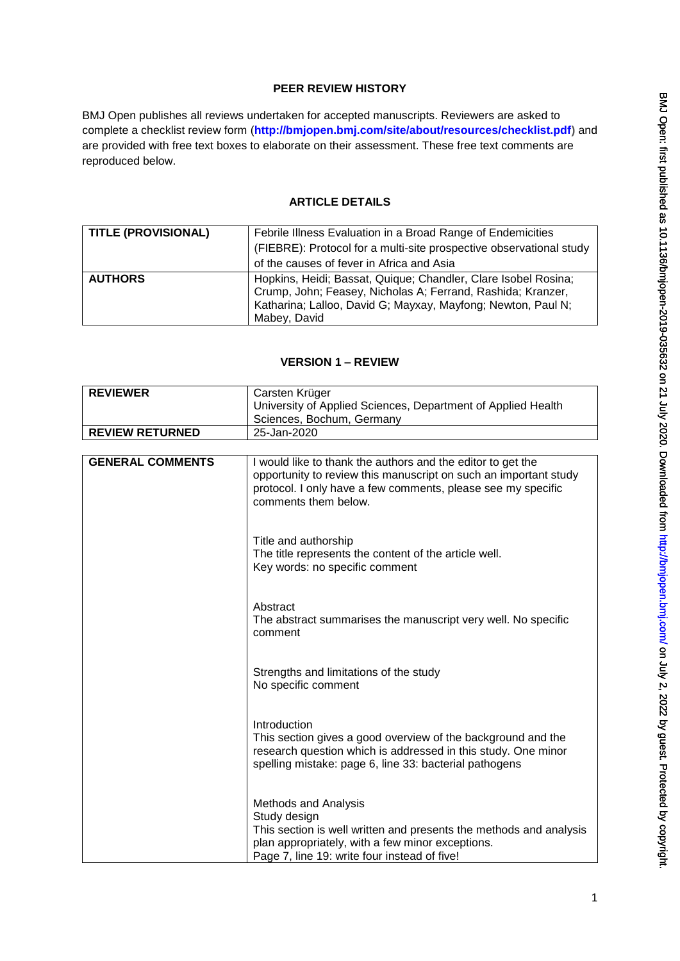## **PEER REVIEW HISTORY**

BMJ Open publishes all reviews undertaken for accepted manuscripts. Reviewers are asked to complete a checklist review form (**[http://bmjopen.bmj.com/site/about/resources/checklist.pdf\)](http://bmjopen.bmj.com/site/about/resources/checklist.pdf)** and are provided with free text boxes to elaborate on their assessment. These free text comments are reproduced below.

## **ARTICLE DETAILS**

| <b>TITLE (PROVISIONAL)</b> | Febrile Illness Evaluation in a Broad Range of Endemicities         |
|----------------------------|---------------------------------------------------------------------|
|                            |                                                                     |
|                            | (FIEBRE): Protocol for a multi-site prospective observational study |
|                            | of the causes of fever in Africa and Asia                           |
| <b>AUTHORS</b>             | Hopkins, Heidi; Bassat, Quique; Chandler, Clare Isobel Rosina;      |
|                            | Crump, John; Feasey, Nicholas A; Ferrand, Rashida; Kranzer,         |
|                            | Katharina; Lalloo, David G; Mayxay, Mayfong; Newton, Paul N;        |
|                            | Mabey, David                                                        |

## **VERSION 1 – REVIEW**

| <b>REVIEWER</b>         | Carsten Krüger                                                                                                                                                                                                          |  |
|-------------------------|-------------------------------------------------------------------------------------------------------------------------------------------------------------------------------------------------------------------------|--|
|                         | University of Applied Sciences, Department of Applied Health                                                                                                                                                            |  |
|                         | Sciences, Bochum, Germany                                                                                                                                                                                               |  |
| <b>REVIEW RETURNED</b>  | 25-Jan-2020                                                                                                                                                                                                             |  |
|                         |                                                                                                                                                                                                                         |  |
| <b>GENERAL COMMENTS</b> | I would like to thank the authors and the editor to get the<br>opportunity to review this manuscript on such an important study<br>protocol. I only have a few comments, please see my specific<br>comments them below. |  |
|                         | Title and authorship<br>The title represents the content of the article well.<br>Key words: no specific comment                                                                                                         |  |
|                         | Abstract<br>The abstract summarises the manuscript very well. No specific<br>comment                                                                                                                                    |  |
|                         | Strengths and limitations of the study<br>No specific comment                                                                                                                                                           |  |
|                         | Introduction<br>This section gives a good overview of the background and the<br>research question which is addressed in this study. One minor<br>spelling mistake: page 6, line 33: bacterial pathogens                 |  |
|                         | Methods and Analysis<br>Study design<br>This section is well written and presents the methods and analysis<br>plan appropriately, with a few minor exceptions.<br>Page 7, line 19: write four instead of five!          |  |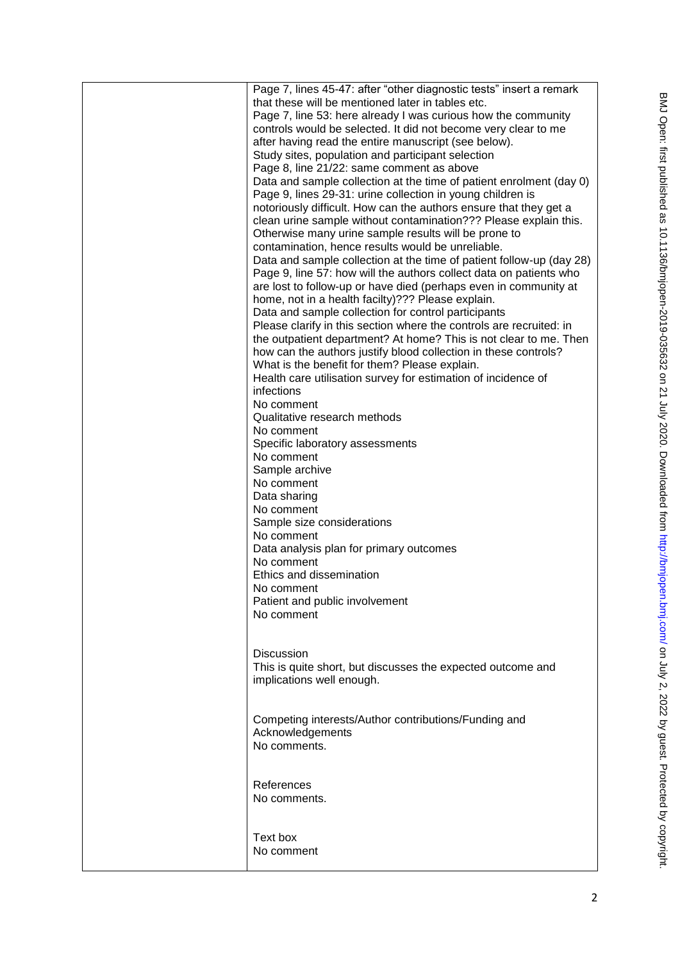| Page 7, lines 45-47: after "other diagnostic tests" insert a remark<br>that these will be mentioned later in tables etc.<br>Page 7, line 53: here already I was curious how the community<br>controls would be selected. It did not become very clear to me<br>after having read the entire manuscript (see below).<br>Study sites, population and participant selection<br>Page 8, line 21/22: same comment as above<br>Data and sample collection at the time of patient enrolment (day 0)<br>Page 9, lines 29-31: urine collection in young children is<br>notoriously difficult. How can the authors ensure that they get a<br>clean urine sample without contamination??? Please explain this.<br>Otherwise many urine sample results will be prone to<br>contamination, hence results would be unreliable.<br>Data and sample collection at the time of patient follow-up (day 28)<br>Page 9, line 57: how will the authors collect data on patients who<br>are lost to follow-up or have died (perhaps even in community at<br>home, not in a health facilty)??? Please explain.<br>Data and sample collection for control participants<br>Please clarify in this section where the controls are recruited: in<br>the outpatient department? At home? This is not clear to me. Then<br>how can the authors justify blood collection in these controls?<br>What is the benefit for them? Please explain.<br>Health care utilisation survey for estimation of incidence of<br>infections<br>No comment<br>Qualitative research methods<br>No comment<br>Specific laboratory assessments<br>No comment<br>Sample archive<br>No comment<br>Data sharing<br>No comment<br>Sample size considerations<br>No comment<br>Data analysis plan for primary outcomes<br>No comment<br>Ethics and dissemination<br>No comment<br>Patient and public involvement<br>No comment |
|-------------------------------------------------------------------------------------------------------------------------------------------------------------------------------------------------------------------------------------------------------------------------------------------------------------------------------------------------------------------------------------------------------------------------------------------------------------------------------------------------------------------------------------------------------------------------------------------------------------------------------------------------------------------------------------------------------------------------------------------------------------------------------------------------------------------------------------------------------------------------------------------------------------------------------------------------------------------------------------------------------------------------------------------------------------------------------------------------------------------------------------------------------------------------------------------------------------------------------------------------------------------------------------------------------------------------------------------------------------------------------------------------------------------------------------------------------------------------------------------------------------------------------------------------------------------------------------------------------------------------------------------------------------------------------------------------------------------------------------------------------------------------------------------------------------------------------------------------------------------------|
| <b>Discussion</b><br>This is quite short, but discusses the expected outcome and<br>implications well enough.                                                                                                                                                                                                                                                                                                                                                                                                                                                                                                                                                                                                                                                                                                                                                                                                                                                                                                                                                                                                                                                                                                                                                                                                                                                                                                                                                                                                                                                                                                                                                                                                                                                                                                                                                           |
| Competing interests/Author contributions/Funding and<br>Acknowledgements<br>No comments.                                                                                                                                                                                                                                                                                                                                                                                                                                                                                                                                                                                                                                                                                                                                                                                                                                                                                                                                                                                                                                                                                                                                                                                                                                                                                                                                                                                                                                                                                                                                                                                                                                                                                                                                                                                |
| References<br>No comments.                                                                                                                                                                                                                                                                                                                                                                                                                                                                                                                                                                                                                                                                                                                                                                                                                                                                                                                                                                                                                                                                                                                                                                                                                                                                                                                                                                                                                                                                                                                                                                                                                                                                                                                                                                                                                                              |
| Text box<br>No comment                                                                                                                                                                                                                                                                                                                                                                                                                                                                                                                                                                                                                                                                                                                                                                                                                                                                                                                                                                                                                                                                                                                                                                                                                                                                                                                                                                                                                                                                                                                                                                                                                                                                                                                                                                                                                                                  |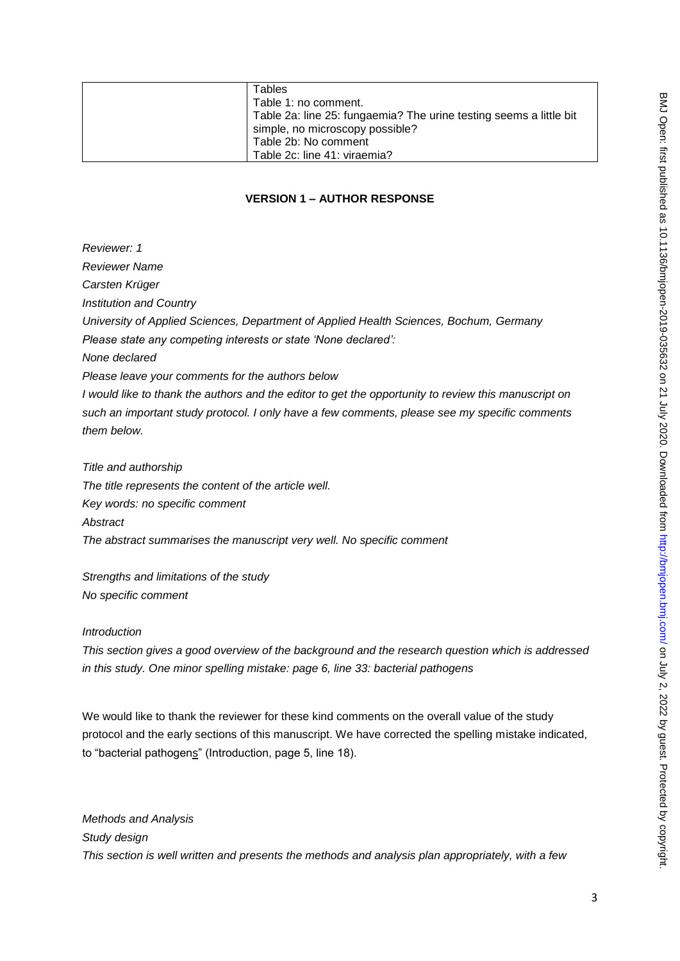| Tables                                                             |
|--------------------------------------------------------------------|
| Table 1: no comment.                                               |
| Table 2a: line 25: fungaemia? The urine testing seems a little bit |
| simple, no microscopy possible?                                    |
| Table 2b: No comment                                               |
| Table 2c: line 41: viraemia?                                       |

### **VERSION 1 – AUTHOR RESPONSE**

*Reviewer: 1 Reviewer Name Carsten Krüger Institution and Country University of Applied Sciences, Department of Applied Health Sciences, Bochum, Germany Please state any competing interests or state 'None declared': None declared Please leave your comments for the authors below I would like to thank the authors and the editor to get the opportunity to review this manuscript on such an important study protocol. I only have a few comments, please see my specific comments them below. Title and authorship* 

*The title represents the content of the article well. Key words: no specific comment Abstract The abstract summarises the manuscript very well. No specific comment* 

*Strengths and limitations of the study No specific comment* 

### *Introduction*

*This section gives a good overview of the background and the research question which is addressed in this study. One minor spelling mistake: page 6, line 33: bacterial pathogens* 

We would like to thank the reviewer for these kind comments on the overall value of the study protocol and the early sections of this manuscript. We have corrected the spelling mistake indicated, to "bacterial pathogens" (Introduction, page 5, line 18).

*Methods and Analysis Study design This section is well written and presents the methods and analysis plan appropriately, with a few*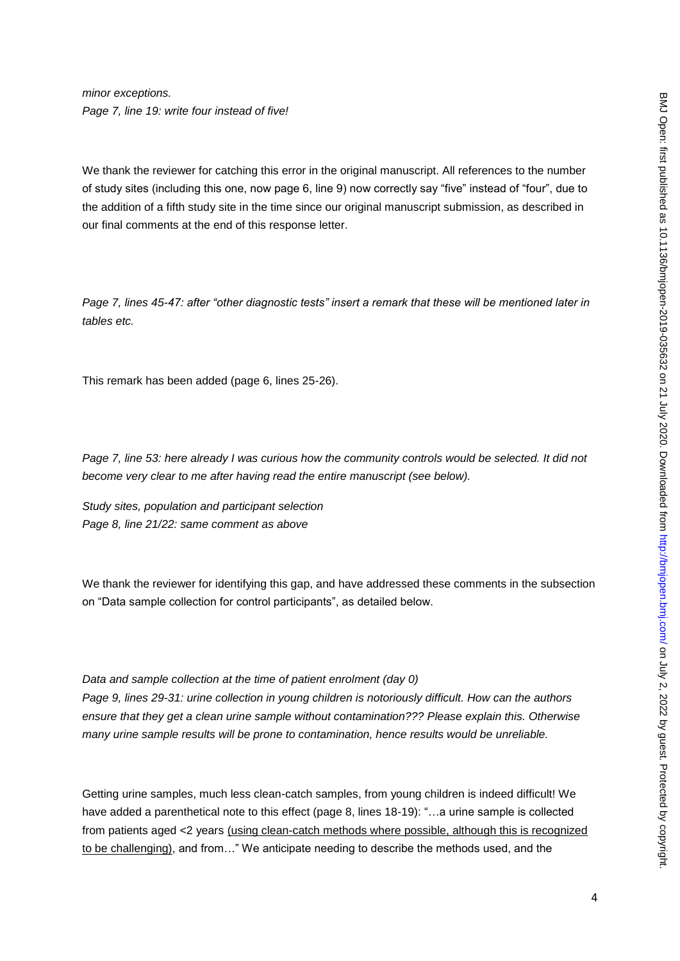*minor exceptions. Page 7, line 19: write four instead of five!* 

We thank the reviewer for catching this error in the original manuscript. All references to the number of study sites (including this one, now page 6, line 9) now correctly say "five" instead of "four", due to the addition of a fifth study site in the time since our original manuscript submission, as described in our final comments at the end of this response letter.

*Page 7, lines 45-47: after "other diagnostic tests" insert a remark that these will be mentioned later in tables etc.* 

This remark has been added (page 6, lines 25-26).

*Page 7, line 53: here already I was curious how the community controls would be selected. It did not become very clear to me after having read the entire manuscript (see below).* 

*Study sites, population and participant selection Page 8, line 21/22: same comment as above* 

We thank the reviewer for identifying this gap, and have addressed these comments in the subsection on "Data sample collection for control participants", as detailed below.

*Data and sample collection at the time of patient enrolment (day 0)* 

*Page 9, lines 29-31: urine collection in young children is notoriously difficult. How can the authors ensure that they get a clean urine sample without contamination??? Please explain this. Otherwise many urine sample results will be prone to contamination, hence results would be unreliable.* 

Getting urine samples, much less clean-catch samples, from young children is indeed difficult! We have added a parenthetical note to this effect (page 8, lines 18-19): "...a urine sample is collected from patients aged <2 years (using clean-catch methods where possible, although this is recognized to be challenging), and from…" We anticipate needing to describe the methods used, and the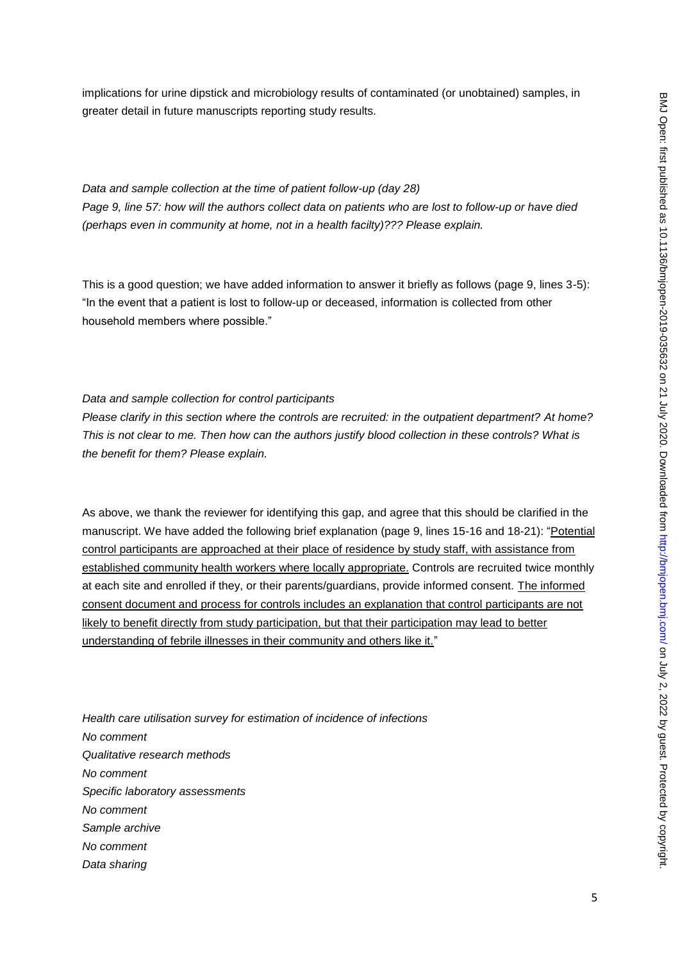implications for urine dipstick and microbiology results of contaminated (or unobtained) samples, in greater detail in future manuscripts reporting study results.

*Data and sample collection at the time of patient follow-up (day 28) Page 9, line 57: how will the authors collect data on patients who are lost to follow-up or have died (perhaps even in community at home, not in a health facilty)??? Please explain.* 

This is a good question; we have added information to answer it briefly as follows (page 9, lines 3-5): "In the event that a patient is lost to follow-up or deceased, information is collected from other household members where possible."

#### *Data and sample collection for control participants*

*Please clarify in this section where the controls are recruited: in the outpatient department? At home? This is not clear to me. Then how can the authors justify blood collection in these controls? What is the benefit for them? Please explain.* 

As above, we thank the reviewer for identifying this gap, and agree that this should be clarified in the manuscript. We have added the following brief explanation (page 9, lines 15-16 and 18-21): "Potential control participants are approached at their place of residence by study staff, with assistance from established community health workers where locally appropriate. Controls are recruited twice monthly at each site and enrolled if they, or their parents/guardians, provide informed consent. The informed consent document and process for controls includes an explanation that control participants are not likely to benefit directly from study participation, but that their participation may lead to better understanding of febrile illnesses in their community and others like it."

*Health care utilisation survey for estimation of incidence of infections No comment Qualitative research methods No comment Specific laboratory assessments No comment Sample archive No comment Data sharing*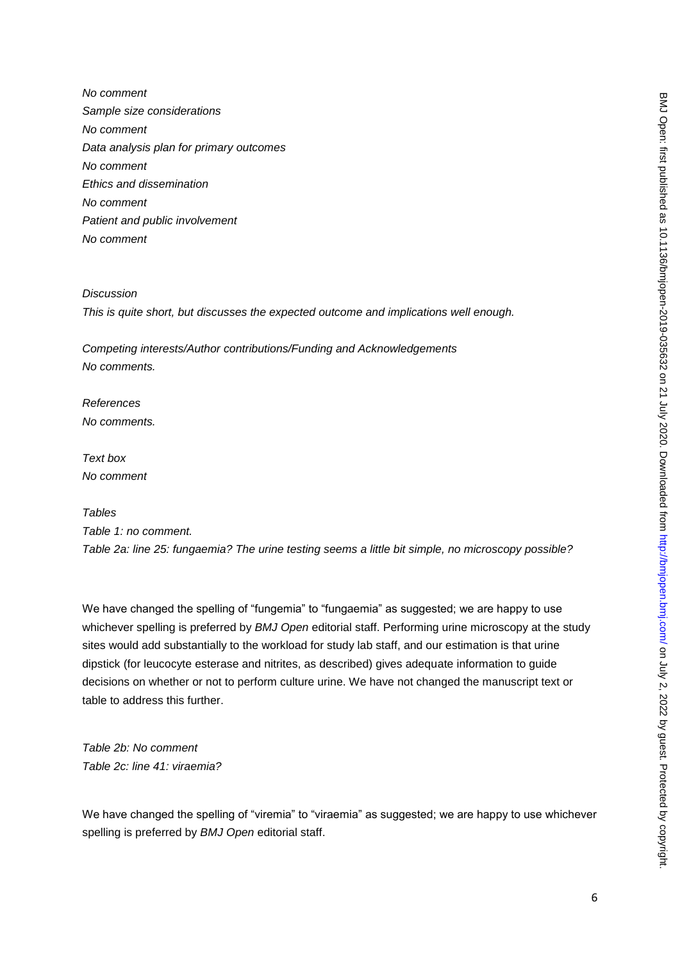*No comment Sample size considerations No comment Data analysis plan for primary outcomes No comment Ethics and dissemination No comment Patient and public involvement No comment* 

#### *Discussion*

*This is quite short, but discusses the expected outcome and implications well enough.* 

*Competing interests/Author contributions/Funding and Acknowledgements No comments.* 

*References No comments.* 

*Text box No comment* 

*Tables Table 1: no comment. Table 2a: line 25: fungaemia? The urine testing seems a little bit simple, no microscopy possible?* 

We have changed the spelling of "fungemia" to "fungaemia" as suggested; we are happy to use whichever spelling is preferred by *BMJ Open* editorial staff. Performing urine microscopy at the study sites would add substantially to the workload for study lab staff, and our estimation is that urine dipstick (for leucocyte esterase and nitrites, as described) gives adequate information to guide decisions on whether or not to perform culture urine. We have not changed the manuscript text or table to address this further.

*Table 2b: No comment Table 2c: line 41: viraemia?* 

We have changed the spelling of "viremia" to "viraemia" as suggested; we are happy to use whichever spelling is preferred by *BMJ Open* editorial staff.